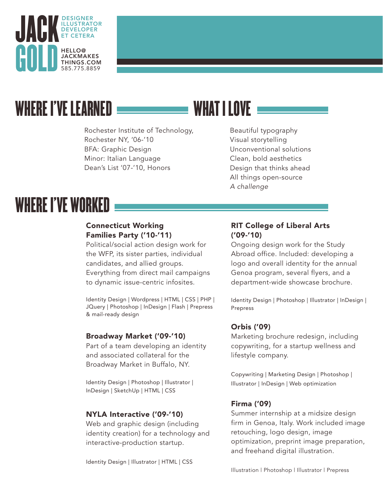

## WHERE I'VE LEARNED

Rochester Institute of Technology, Rochester NY, '06-'10 BFA: Graphic Design Minor: Italian Language Dean's List '07-'10, Honors

### WHAT I I NVF

Beautiful typography Visual storytelling Unconventional solutions Clean, bold aesthetics Design that thinks ahead All things open-source *A challenge*

# WHERE I'VE WORKED

#### Connecticut Working Families Party ('10-'11)

Political/social action design work for the WFP, its sister parties, individual candidates, and allied groups. Everything from direct mail campaigns to dynamic issue-centric infosites.

Identity Design | Wordpress | HTML | CSS | PHP | JQuery | Photoshop | InDesign | Flash | Prepress & mail-ready design

#### Broadway Market ('09-'10)

Part of a team developing an identity and associated collateral for the Broadway Market in Buffalo, NY.

Identity Design | Photoshop | Illustrator | InDesign | SketchUp | HTML | CSS

#### NYLA Interactive ('09-'10)

Web and graphic design (including identity creation) for a technology and interactive-production startup.

Identity Design | Illustrator | HTML | CSS

#### RIT College of Liberal Arts ('09-'10)

Ongoing design work for the Study Abroad office. Included: developing a logo and overall identity for the annual Genoa program, several flyers, and a department-wide showcase brochure.

Identity Design | Photoshop | Illustrator | InDesign | Prepress

#### Orbis ('09)

Marketing brochure redesign, including copywriting, for a startup wellness and lifestyle company.

Copywriting | Marketing Design | Photoshop | Illustrator | InDesign | Web optimization

#### Firma ('09)

Summer internship at a midsize design firm in Genoa, Italy. Work included image retouching, logo design, image optimization, preprint image preparation, and freehand digital illustration.